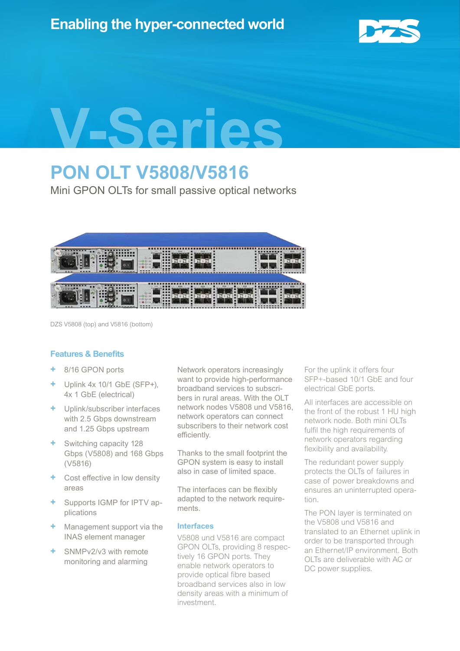

# **V-Series**

# **PON OLT V5808/V5816**

Mini GPON OLTs for small passive optical networks



DZS V5808 (top) and V5816 (bottom)

# **Features & Benefits**

- **+** 8/16 GPON ports
- **+** Uplink 4x 10/1 GbE (SFP+), 4x 1 GbE (electrical)
- **+** Uplink/subscriber interfaces with 2.5 Gbps downstream and 1.25 Gbps upstream
- **+** Switching capacity 128 Gbps (V5808) and 168 Gbps (V5816)
- **Cost effective in low density** areas
- **+** Supports IGMP for IPTV applications
- **+** Management support via the INAS element manager
- **+** SNMPv2/v3 with remote monitoring and alarming

Network operators increasingly want to provide high-performance broadband services to subscribers in rural areas. With the OLT network nodes V5808 und V5816, network operators can connect subscribers to their network cost efficiently.

Thanks to the small footprint the GPON system is easy to install also in case of limited space.

The interfaces can be flexibly adapted to the network requirements.

# **Interfaces**

V5808 und V5816 are compact GPON OLTs, providing 8 respectively 16 GPON ports. They enable network operators to provide optical fibre based broadband services also in low density areas with a minimum of investment.

For the uplink it offers four SFP+-based 10/1 GbE and four electrical GbE ports.

All interfaces are accessible on the front of the robust 1 HU high network node. Both mini OLTs fulfil the high requirements of network operators regarding flexibility and availability.

The redundant power supply protects the OLTs of failures in case of power breakdowns and ensures an uninterrupted operation.

The PON layer is terminated on the V5808 und V5816 and translated to an Ethernet uplink in order to be transported through an Ethernet/IP environment. Both OLTs are deliverable with AC or DC power supplies.